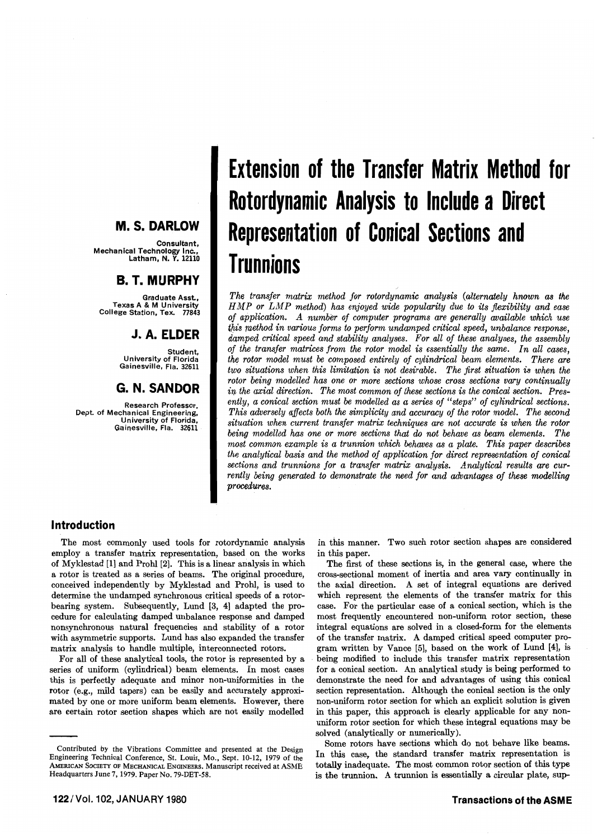# **M. S. DARLOW**

,Consultant<br>Mechanical Technology Inc<br>Latham, N. Y. 12110

## **B. T. MURPHY**

Graduate Asst.. Texas A & M University College Station, Tex. 77843

# **J.A. ELDER**

Student, University of Florida Gainesville, Fla. 32611

# **G. N. SANDOR**

Research Professor. Dept. of Mechanical Engineering. University of Florida, Ga inesville. Fla. 32611

# **Extension of the Transfer Matrix Method for Rotordynamic Analysis to Include a Direct Representation of Conical Sections and Trunnions**

*The transfer matrix method for rotordynamic analysis (alternately hnown as the HlI1P or LMP method) has enjoyed wide popularity due to its flexibility and ease of application. A number of computer programs are generally available which use*  this method in various forms to perform undamped critical speed, unbalance response, *damped critical speed and stability analyses. For all of these analyses, the assembly of the transfer matrices from the rotor model* is *essentially the same. In all cases, the rotor model must be composed entirely of cylindrical beam elements. There are two situations when this limitation is not desirable. The first situation* is *when the rotor being modelled has one or more sections whose cross sections vary continually*  in the axial direction. The most common of these sections is the conical section. Pres*ently, a conical section must be modelled as a series of "steps" of cylindrical sections. This adversely affects both the simplicity and accuracy of the rotor model. The second situation when current transfer matrix techniques are not accurate* is *when the rotor being modelled has one or more sections that* do *not behave as beam elements. The most common example* is *a trunnion which behaves as a plate. This paper describes the analytical basis and the method of application for direct representation of conical sections and trunnions for a transfer matrix analysis. Analytical results are currently being generated to demonstrate the need for and advantages of these modelling procedures.* 

### **Introduction**

The most commonly used tools for rotordynamic analysis employ a transfer matrix representation, based on the works of Myklestad [1] and Prohl [2]. This is a linear analysis in which a rotor is treated as a series of beams. The original procedure, conceived independently by MykJestad and Prohl, is used to determine the undamped synchronous critical speeds of a rotorbearing system. Subsequently, Lund [3, 4] adapted the procedure for calculating damped unbalance response and damped nonsynchronous natural frequencies and stability of a rotor with asymmetric supports. Lund has also expanded the transfer matrix analysis to handle multiple, interconnected rotors.

For all of these analytical tools, the rotor is represented by a series of uniform (cylindrical) beam elements. In most cases this is perfectly adequate and minor non-uniformities in the rotor (e.g., mild tapers) can be easily and accurately approximated by one or more uniform beam elements. However, there are certain rotor section shapes which are not easily modelled

in this manner. Two such rotor section shapes are considered in this paper.

The first of these sections is, in the general case, where the cross-sectional moment of inertia and area vary continually in the axial direction. A set of integral equations are derived which represent the elements of the transfer matrix for this case. For the particular case of a conical section, which is the most frequently encountered non-uniform rotor section, these integral equations are solved in a closed-form for the elements of the transfer matrix. A damped critical speed computer program written by Vance [5], based on the work of Lund [4], is being modified to include this transfer matrix representation for a conical section. An analytical study is being performed to demonstrate the need for and advantages of using this conical section representation. Although the conical section is the only non-uniform rotor section for which an explicit solution is given in this paper, this approach is clearly applicable for any nonuniform rotor section for which these integral equations may be solved (analytically or numerically).

Some rotors have sections which do not behave like beams. In this case, the standard transfer matrix representation is totally inadequate. The most common rotor section of this type is the trunnion. A trunnion is essentially a circular plate, sup-

Contributed by the Vibrations Committee and presented at the Design Engineering Technical Conference, St. Louis, Mo., Sept. 10-12, 1979 of the AMERICAN SOCIETY OF MECHANICAL ENGINEERS. Manuscript received at ASME Headquarters June 7, 1979. Paper No. 79-DET-58.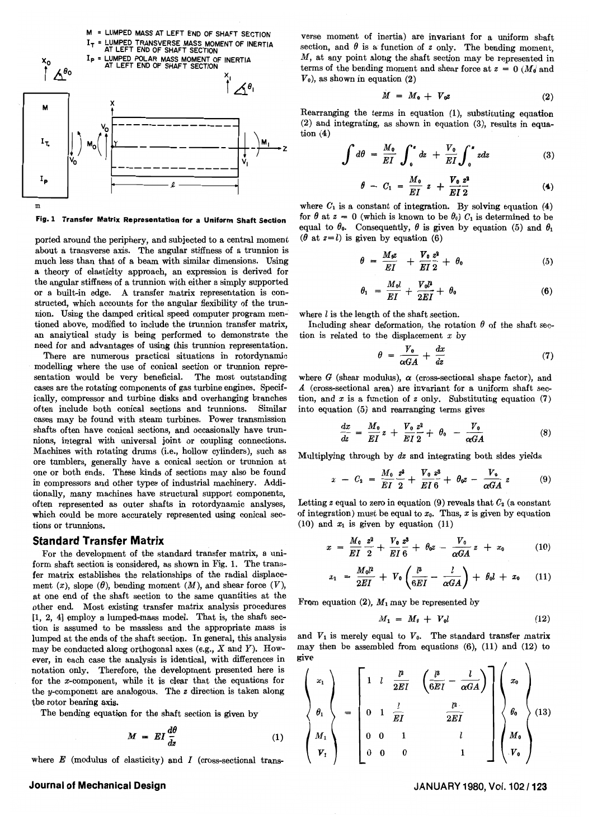

Fig. 1 Transfer Matrix Representation for a Uniform Shaft Section

ported around the periphery, and subjected to a central moment about a transverse axis. The angular stiffness of a trunnion is much less than that of a beam with similar dimensions. Using a theory of elasticity approach, an expression is derived for the angular stiffness of a trunnion with either a simply supported or a built-in edge. A transfer matrix representation is constructed, which accounts for the angular flexibility of the trunnion. Using the damped critical speed computer program mentioned above, modified to include the trunnion transfer matrix, an analytical study is being performed to demonstrate the need for and advantages of using this trunnion representation.

There are numerous practical situations in rotordynamic modelling where the use of conical section or trunnion representation would be very beneficial. The most outstanding cases are the rotating components of gas turbine engines. Specifically, compressor and turbine disks and overhanging branches often include both conical sections and trunnions. Similar cases may be found with steam turbines. Power transmission shafts often have conical sections, and occasionally have trunnions, integral with universal joint or coupling connections. Machines with rotating drums (i.e., hollow cylinders), such as ore tumblers, generally have a conical section or trunnion at one or both ends. These kinds of sections may also be found in compressors and other types of industrial machinery. Additionally, many machines have structural support components, often represented as outer shafts in rotordynamic analyses, which could be more accurately represented using conical sections or trunnions.

#### **Standard Transfer Matrix**

For the development of the standard transfer matrix, a uniform shaft section is considered, as shown in Fig. 1. The transfer matrix establishes the relationships of the radial displacement (x), slope ( $\theta$ ), bending moment (M), and shear force (V), at one end of the shaft section to the same quantities at the other end. Most existing transfer matrix analysis procedures  $[1, 2, 4]$  employ a lumped-mass model. That is, the shaft section is assumed to be massless and the appropriate mass is lumped at the ends of the shaft section. In general, this analysis may be conducted along orthogonal axes (e.g.,  $X$  and  $Y$ ). However, in each case the analysis is identical, with differences in notation only. Therefore, the development presented here is for the  $x$ -component, while it is clear that the equations for the *y*-component are analogous. The  $z$  direction is taken along the rotor bearing axis.

The bending equation for the shaft section is given by

$$
M = EI \frac{d\theta}{dz}
$$
 (1)

where *E* (modulus of elasticity) and *I* (cross-sectional trans-

#### Journal of Mechanical Design

verse moment of inertia) are invariant for a uniform shaft section, and  $\theta$  is a function of  $z$  only. The bending moment,  $M$ , at any point along the shaft section may be represented in terms of the bending moment and shear force at  $z = 0$  *(M<sub>d</sub>* and  $V_0$ ), as shown in equation (2)

$$
M = M_0 + V_0 z \tag{2}
$$

Rearranging the terms in equation (1), substituting equation (2) and integrating, as shown in equation (3), results in equation  $(4)$ 

$$
\int d\theta = \frac{M_0}{EI} \int_0^x dz + \frac{V_0}{EI} \int_0^x z dz
$$
 (3)

$$
\theta - C_1 = \frac{M_0}{EI} z + \frac{V_0}{EI} \frac{z^2}{2}
$$
 (4)

where  $C_1$  is a constant of integration. By solving equation (4) for  $\theta$  at  $z = 0$  (which is known to be  $\theta_0$ )  $C_1$  is determined to be equal to  $\theta_0$ . Consequently,  $\theta$  is given by equation (5) and  $\theta_1$ ( $\theta$  at  $z = l$ ) is given by equation (6)

$$
\theta = \frac{M_0 z}{EI} + \frac{V_0}{EI} \frac{z^2}{2} + \theta_0 \tag{5}
$$

$$
\theta_1 = \frac{M_0 l}{EI} + \frac{V_0 P}{2EI} + \theta_0 \tag{6}
$$

where  $l$  is the length of the shaft section.

Including shear deformation, the rotation  $\theta$  of the shaft section is related to the displacement *x* by

$$
\theta = \frac{V_0}{\alpha GA} + \frac{dx}{dz} \tag{7}
$$

where  $G$  (shear modulus),  $\alpha$  (cross-sectional shape factor), and *A* (cross-sectional area) are invariant for a uniform shaft section, and  $x$  is a function of  $z$  only. Substituting equation (7) into equation (5) and rearranging terms gives

$$
\frac{dx}{dz} = \frac{M_0}{EI}z + \frac{V_0}{EI}\frac{z^2}{2} + \theta_0 - \frac{V_0}{\alpha GA}
$$
 (8)

Multiplying through by *dz* and integrating both sides yields

$$
x - C_2 = \frac{M_0}{EI} \frac{z^2}{2} + \frac{V_0}{EI} \frac{z^3}{6} + \theta_0 z - \frac{V_0}{\alpha GA} z \tag{9}
$$

Letting *z* equal to zero in equation (9) reveals that  $C_2$  (a constant of integration) must be equal to  $x_0$ . Thus, x is given by equation (10) and  $x_1$  is given by equation (11)

$$
x = \frac{M_0}{EI} \frac{z^2}{2} + \frac{V_0}{EI} \frac{z^3}{6} + \theta_0 z - \frac{V_0}{\alpha GA} z + x_0 \qquad (10)
$$

$$
x_1 = \frac{M_0 l^2}{2EI} + V_0 \left( \frac{l^3}{6EI} - \frac{l}{\alpha GA} \right) + \theta_0 l + x_0 \qquad (11)
$$

From equation (2),  $M_1$  may be represented by

$$
M_1 = M_0 + V_0 l \tag{12}
$$

and  $V_1$  is merely equal to  $V_0$ . The standard transfer matrix may then be assembled from equations (6), (11) and (12) to give

$$
\begin{Bmatrix} x_1 \\ \theta_1 \\ \theta_2 \\ \theta_3 \\ \theta_4 \\ \theta_5 \end{Bmatrix} = \begin{bmatrix} 1 & l & \frac{p}{2EI} & \left(\frac{l^3}{6EI} - \frac{l}{\alpha GA}\right) \\ 0 & 1 & \frac{l}{EI} & \frac{l^3}{2EI} \\ 0 & 0 & 1 & l \\ 0 & 0 & 0 & 1 \end{bmatrix} \begin{Bmatrix} x_0 \\ \theta_0 \\ \theta_0 \\ M_0 \\ \theta_6 \\ \theta_7 \end{Bmatrix} (13)
$$

JANUARY 1980, Vol. 102/123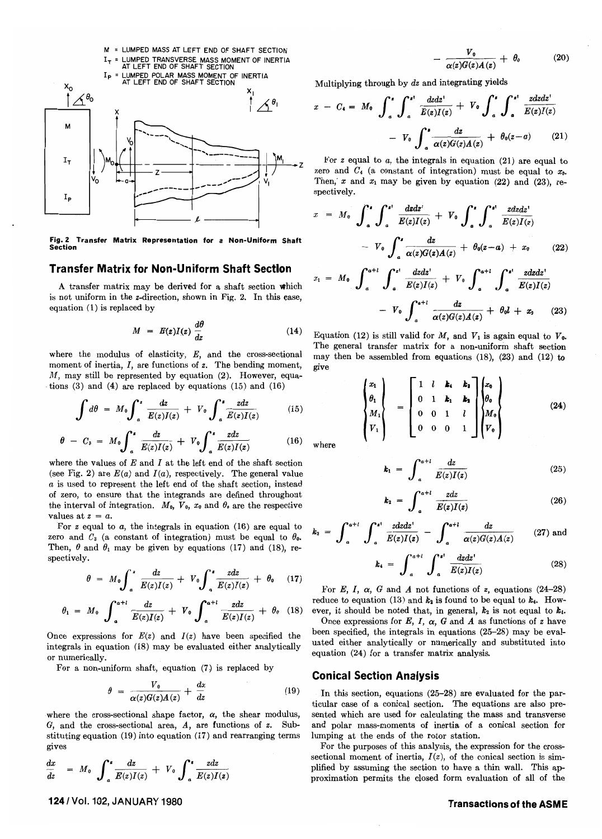

Fig. Z Transfer Matrix Representation for a Non-Uniform Shaft Section

#### **Transfer Matrix for Non-Uniform Shaft Section**

A transfer matrix may be derived for a shaft section which is not uniform in the z-direction, shown in Fig. 2. In this case, equation (1) is replaced by

$$
M = E(z)I(z) \frac{d\theta}{dz} \tag{14}
$$

where the modulus of elasticity,  $E$ , and the cross-sectional moment of inertia, *I,* are functions of *z.* The bending moment, *M*, may still be represented by equation (2). However, equations  $(3)$  and  $(4)$  are replaced by equations  $(15)$  and  $(16)$ 

$$
\int d\theta = M_0 \int_a^z \frac{dz}{E(z)I(z)} + V_0 \int_a^z \frac{z dz}{E(z)I(z)}
$$
 (15)

$$
\theta - C_3 = M_0 \int_a^a \frac{dz}{E(z)I(z)} + V_0 \int_a^z \frac{zdz}{E(z)I(z)}
$$
(16)

where the values of *E* and *I* at the left end of the shaft section (see Fig. 2) are  $E(a)$  and  $I(a)$ , respectively. The general value *a* is used to represent the left end of the shaft section, instead of zero, to ensure that the integrands are defined throughout the interval of integration.  $M_0$ ,  $V_0$ ,  $x_0$  and  $\theta_0$  are the respective values at  $z = a$ .

For z equal to *a,* the integrals in equation (16) are equal to zero and  $C_3$  (a constant of integration) must be equal to  $\theta_0$ . Then,  $\theta$  and  $\theta_1$  may be given by equations (17) and (18), respectively.

$$
\theta = M_0 \int_a^x \frac{dz}{E(z)I(z)} + V_0 \int_a^x \frac{zdz}{E(z)I(z)} + \theta_0 \quad (17)
$$

$$
\theta_1 = M_0 \int_a^{a+l} \frac{dz}{E(z)I(z)} + V_0 \int_a^{a+l} \frac{zdz}{E(z)I(z)} + \theta_0 \quad (18)
$$

Once expressions for  $E(z)$  and  $I(z)$  have been specified the integrals in equation (18) may be evaluated either analytically or numerically.

For a non-uniform shaft, equation (7) is replaced by

$$
\theta = \frac{V_0}{\alpha(z)G(z)A(z)} + \frac{dx}{dz} \tag{19}
$$

where the cross-sectional shape factor,  $\alpha$ , the shear modulus, G, and the cross-sectional area, A, are functions of *z.* Substituting equation (19) into equation (17) and rearranging terms gives

gives  
\n
$$
\frac{dx}{dz} = M_0 \int_a^x \frac{dz}{E(z)I(z)} + V_0 \int_a^x \frac{zdz}{E(z)I(z)}
$$

 $(20)$  $\alpha(z)G(z)A(z)$ 

Multiplying through by *dz* and integrating yields

$$
x - C_4 = M_0 \int_a^{\mathbf{r}} \int_a^{\mathbf{r}^{\dagger}} \frac{dzdz^{\dagger}}{E(z)I(z)} + V_0 \int_a^{\mathbf{r}} \int_a^{\mathbf{r}^{\dagger}} \frac{zdzdz^{\dagger}}{E(z)I(z)}
$$

$$
- V_0 \int_a^{\mathbf{r}} \frac{dz}{\alpha(z)G(z)A(z)} + \theta_0(z-a) \qquad (21)
$$

For *z* equal to *a,* the integrals in equation (21) are equal to zero and  $C_4$  (a constant of integration) must be equal to  $x_0$ . Then,  $x$  and  $x_1$  may be given by equation (22) and (23), respectively.

$$
x = M_0 \int_a^b \int_a^{b} \frac{dzdz'}{E(z)I(z)} + V_0 \int_a^b \int_a^{d} \frac{zdzdz'}{E(z)I(z)}
$$
  
- 
$$
V_0 \int_a^b \frac{dz}{\alpha(z)G(z)A(z)} + \theta_0(z-a) + x_0
$$
 (22)

$$
x_1 = M_0 \int_a^{a+l} \int_a^{z} \frac{dzdz'}{E(z)I(z)} + V_0 \int_a^{a+l} \int_a^{z} \frac{zdzdz'}{E(z)I(z)} - V_0 \int_a^{a+l} \frac{dz}{\alpha(z)G(z)A(z)} + \theta_0 l + x_0 \qquad (23)
$$

Equation (12) is still valid for  $M$ , and  $V_1$  is again equal to  $V_0$ . The general transfer matrix for a non-uniform shaft section may then be assembled from equations (18), (23) and (12) to give

$$
\begin{pmatrix} x_1 \\ \theta_1 \\ M_1 \\ V_1 \end{pmatrix} = \begin{bmatrix} 1 & l & k_1 & k_2 \\ 0 & 1 & k_1 & k_2 \\ 0 & 0 & 1 & l \\ 0 & 0 & 0 & 1 \end{bmatrix} \begin{pmatrix} x_0 \\ \theta_0 \\ M_0 \\ V_0 \end{pmatrix}
$$
(24)

where

$$
k_1 = \int_a^{a+l} \frac{dz}{E(z)I(z)} \tag{25}
$$

$$
k_2 = \int_a^{a+l} \frac{zdz}{E(z)I(z)} \tag{26}
$$

$$
k_3 = \int_a^{a+l} \int_a^{a} \frac{z dz dz'}{E(z)I(z)} - \int_a^{a+l} \frac{dz}{\alpha(z)G(z)A(z)}
$$
 (27) and

$$
k_4 = \int_{a}^{a+i} \int_{a}^{z^1} \frac{dzdz^1}{E(z)I(z)}
$$
 (28)

For *E*, *I*,  $\alpha$ , *G* and *A* not functions of *z*, equations (24-28) reduce to equation (13) and  $k_2$  is found to be equal to  $k_4$ . However, it should be noted that, in general,  $k_2$  is not equal to  $k_4$ .

Once expressions for  $E$ ,  $I$ ,  $\alpha$ ,  $G$  and  $A$  as functions of  $z$  have been specified, the integrals in equations (25-28) may be evaluated either analytically or numerically and substituted into equation (24) for a transfer matrix analysis.

#### **Conical Section Analysis**

In this section, equations (25-28) are evaluated for the particular case of a conical section. The equations are also presented which are used for calculating the mass and transverse and polar mass-moments of inertia of a conical section for lumping at the ends of the rotor station.

For the purposes of this analysis, the expression for the crosssectional moment of inertia,  $I(z)$ , of the conical section is simplified by assuming the section to have a thin wall. This approximation permits the closed form evaluation of all of the

#### **Transactions of the ASM E**

1241 Vol. 102, JANUARY 1980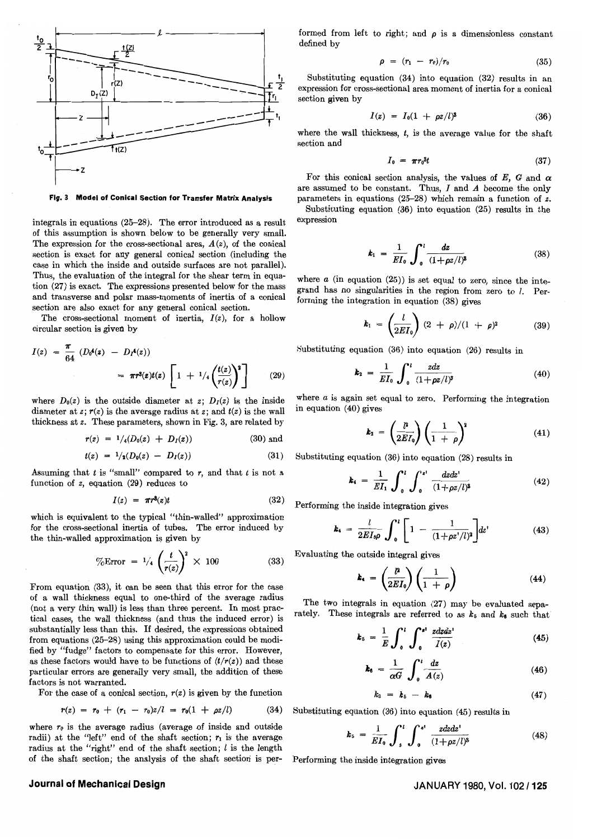

Fig. 3 Model of Conical Section for Transfer Matrix Analysis

integrals in equations (25-28). The error introduced as a result of this assumption is shown below to be generally very small. The expression for the cross-sectional area,  $A(z)$ , of the conical section is exact for any general conical section (including the case in which the inside and outside surfaces are not parallel). Thus, the evaluation of the integral for the shear term in equation (27) is exact. The expressions presented below for the mass and transverse and polar mass-moments of inertia of a conical section are also exact for any general conical section.

The cross-sectional moment of inertia,  $I(z)$ , for a hollow circular section is given by

$$
I(z) = \frac{\pi}{64} (D_0^A(z) - D_1^A(z))
$$
  
=  $\pi r^S(z) t(z) \left[ 1 + \frac{1}{4} \left( \frac{t(z)}{r(z)} \right)^2 \right]$  (29)

where  $D_0(z)$  is the outside diameter at z;  $D_1(z)$  is the inside diameter at  $z$ ;  $r(z)$  is the average radius at  $z$ ; and  $t(z)$  is the wall thickness at *z.* These parameters, shown in Fig. 3, are related by

$$
r(z) = 1/4(D_0(z) + D_I(z))
$$
 (30) and

$$
t(z) = 1/2(D_0(z) - D_I(z)) \tag{31}
$$

Assuming that  $t$  is "small" compared to  $r$ , and that  $t$  is not a function of *z,* equation (29) reduces to

$$
I(z) = \pi r^3(z)t \tag{32}
$$

which is equivalent to the typical "thin-walled" approximation for the cross-sectional inertia of tubes. The error induced by the thin-walled approximation is given by

$$
\% \text{Error} = \frac{1}{4} \left( \frac{t}{r(z)} \right)^2 \times 100 \tag{33}
$$

From equation (33), it can be seen that this error for the case of a wall thickmess equal to one-third of the average radius (not a very thin wall) is less than three percent. In most practical cases, the wall thickness (and thus the induced error) is substantially less than this. If desired, the expressions obtained from equations (25-28) using this approximation could be modified by "fudge" factors to compensate for this error. However, as these factors would have to be functions of  $(t/r(z))$  and these particular errors are generally very small, the addition of these factors is not warranted.

For the case of a conical section,  $r(z)$  is given by the function

$$
r(z) = r_0 + (r_1 - r_0)z/l = r_0(1 + \rho z/l) \qquad (34)
$$

where  $r_0$  is the average radius (average of inside and outside radii) at the "left" end of the shaft section;  $r_1$  is the average radius at the "right" end of the shaft section;  $l$  is the length of the shaft section; the analysis of the shaft section is performed from left to right; and  $\rho$  is a dimensionless constant defined by

$$
\rho = (r_1 - r_0)/r_0 \tag{35}
$$

Substituting equation (34) into equation (32) results in an expression for cross-sectional area moment of inertia for a conical section given by

$$
I(z) = I_0(1 + \rho z/l)^3 \tag{36}
$$

where the wall thickness, *t,* is the average value for the shaft section and

$$
I_0 = \pi r_0^3 t \tag{37}
$$

For this conical section analysis, the values of E, G and  $\alpha$ are assumed to be constant. Thus, *I* and *A* become the only parameters in equations (25-28) which remain a function of *z.*  Substituting equation (36) into equation (25) results in the expression

$$
k_1 = \frac{1}{EI_0} \int_0^l \frac{dz}{(1 + \rho z/l)^3}
$$
 (38)

where  $a$  (in equation (25)) is set equal to zero, since the integrand has no singularities in the region from zero to  $l$ . Performing the integration in equation (38) gives

$$
k_1 = \left(\frac{l}{2EI_0}\right)(2 + \rho)/(1 + \rho)^2 \tag{39}
$$

Substituting equation  $(36)$  into equation  $(26)$  results in

$$
k_2 = \frac{1}{EI_0} \int_0^l \frac{z dz}{(1 + \rho z/l)^3}
$$
 (40)

where *a* is again set equal to zero. Performing the integration in equation (40) gives

$$
k_2 = \left(\frac{\mu}{2EI_0}\right)\left(\frac{1}{1+\rho}\right)^2 \tag{41}
$$

Substituting equation (36) into equation (28) results in

$$
k_4 = \frac{1}{EI_1} \int_0^l \int_0^{t} \frac{dzdz'}{(1+\rho z/l)^3}
$$
 (42)

Performing the inside integration gives

$$
k_4 = \frac{l}{2EI_0\rho} \int_0^l \left[ 1 - \frac{1}{(1+\rho z^2/l)^2} \right] dz^i \tag{43}
$$

Evaluating the outside integral gives

$$
k_4 = \left(\frac{p}{2EI_0}\right)\left(\frac{1}{1+\rho}\right) \tag{44}
$$

The two integrals in equation (27) may be evaluated separately. These integrals are referred to as  $k_5$  and  $k_6$  such that

$$
k_5 = \frac{1}{E} \int_0^1 \int_0^{x^1} \frac{z dz dz^1}{I(z)}
$$
 (45)

$$
k_6 = \frac{1}{\alpha G} \int_0^l \frac{dz}{A(z)}
$$
 (46)

$$
k_3 = k_5 - k_6 \tag{47}
$$

Substituting equation (36) into equation (45) results in

$$
k_{5} = \frac{1}{EI_{0}} \int_{0}^{l} \int_{0}^{z^{1}} \frac{zdzdz^{1}}{(1+\rho z/l)^{3}}
$$
(48)

Performing the inside integration gives

#### **Journal of Mechanical Design**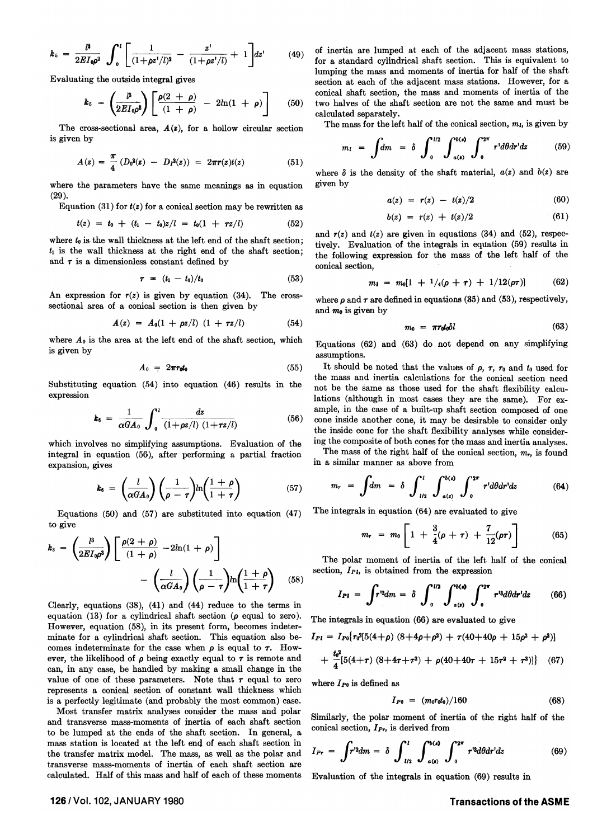$$
k_5 = \frac{\mu}{2EI_0\rho^2} \int_0^l \left[ \frac{1}{(1+\rho z^t/l)^2} - \frac{z^t}{(1+\rho z^t/l)} + 1 \right] dz^t \qquad (49)
$$

Evaluating the outside integral gives

$$
k_5 = \left(\frac{l^3}{2EI_0\rho^3}\right)\left[\frac{\rho(2+\rho)}{(1+\rho)}-2l\ln(1+\rho)\right]
$$
 (50)

The cross-sectional area,  $A(z)$ , for a hollow circular section is given by

$$
A(z) = \frac{\pi}{4} \left( D_0^2(z) - D_1^2(z) \right) = 2\pi r(z) t(z) \tag{51}
$$

where the parameters have the same meanings as in equation (29).

Equation (31) for  $t(z)$  for a conical section may be rewritten as

$$
t(z) = t_0 + (t_1 - t_0)z/l = t_0(1 + \tau z/l) \tag{52}
$$

where  $t_0$  is the wall thickness at the left end of the shaft section;  $t_1$  is the wall thickness at the right end of the shaft section; and  $\tau$  is a dimensionless constant defined by

$$
\tau = (t_1 - t_0)/t_0 \tag{53}
$$

An expression for  $r(z)$  is given by equation  $(34)$ . The crosssectional area of a conical section is then given by

$$
A(z) = A_0(1 + \rho z/l) (1 + \tau z/l) \qquad (54)
$$

where  $A_0$  is the area at the left end of the shaft section, which is given by

$$
A_0 = 2\pi r_0 t_0 \tag{55}
$$

Substituting equation  $(54)$  into equation  $(46)$  results in the expression

$$
k_6 = \frac{1}{\alpha G A_0} \int_0^l \frac{dz}{(1 + \rho z/l) (1 + \tau z/l)}
$$
(56)

which involves no simplifying assumptions. Evaluation of the integral in equation (56), after performing a partial fraction expansion, gives

$$
k_6 = \left(\frac{l}{\alpha GA_0}\right)\left(\frac{1}{\rho - \tau}\right)ln\left(\frac{1 + \rho}{1 + \tau}\right) \tag{57}
$$

Equations (50) and (57) are substituted into equation (47) to give

$$
k_3 = \left(\frac{l^3}{2EI_0\rho^3}\right) \left[\frac{\rho(2+\rho)}{(1+\rho)} - 2ln(1+\rho)\right] - \left(\frac{l}{\alpha GA_0}\right) \left(\frac{1}{\rho-\tau}\right) ln\left(\frac{1+\rho}{1+\tau}\right) \quad (58)
$$

Clearly, equations (38), (4l) and (44) reduce to the terms in equation (13) for a cylindrical shaft section  $(\rho$  equal to zero). However, equation (58), in its present form, becomes indeterminate for a cylindrical shaft section. This equation also becomes indeterminate for the case when  $\rho$  is equal to  $\tau$ . However, the likelihood of  $\rho$  being exactly equal to  $\tau$  is remote and can, in any case, be handled by making a small change in the value of one of these parameters. Note that  $\tau$  equal to zero represents a conical section of constant wall thickness which is a perfectly legitimate (and probably the most common) case.

Most transfer matrix analyses consider the mass and polar and transverse mass-moments of inertia of each shaft section to be lumped at the ends of the shaft section. In general, a mass station is located at the left end of each shaft section in the transfer matrix model. The mass, as well as the polar and transverse mass-moments of inertia of each shaft section are calculated. Half of this mass and half of each of these moments

of inertia are lumped at each of the adjacent mass stations, for a standard cylindrical shaft section. This is equivalent to lumping the mass and moments of inertia for half of the shaft section at each of the adjacent mass stations. However, for a conical shaft section, the mass and moments of inertia of the two halves of the shaft section are not the same and must be calculated separately.

The mass for the left half of the conical section,  $m_l$ , is given by

$$
m_l = \int dm = \delta \int_0^{l/2} \int_{a(\mathbf{k})}^{b(\mathbf{z})} \int_0^{2\pi} r' d\theta dr' dz \qquad (59)
$$

where  $\delta$  is the density of the shaft material,  $a(z)$  and  $b(z)$  are given by

$$
a(z) = r(z) - t(z)/2 \tag{60}
$$

$$
b(z) = r(z) + t(z)/2 \tag{61}
$$

and  $r(z)$  and  $t(z)$  are given in equations (34) and (52), respectively. Evaluation of the integrals in equation (59) results in the following expression for the mass of the left half of the conical section,

$$
m_1 = m_0[1 + \frac{1}{4}(\rho + \tau) + \frac{1}{12}(\rho \tau)] \qquad (62)
$$

where  $\rho$  and  $\tau$  are defined in equations (85) and (53), respectively, and  $m_0$  is given by

$$
m_0 = \pi r_0 t_0 \delta l \tag{63}
$$

Equations (62) and (63) do not depend on any simplifying assumptions.

It should be noted that the values of  $\rho$ ,  $\tau$ ,  $r_0$  and  $t_0$  used for the mass and inertia calculations for the conical section need not be the same as those used for the shaft flexibility calculations (although in most cases they are the same). For example, in the case of a built-up shaft section composed of one cone inside another cone, it may be desirable to consider only the inside cone for the shaft flexibility analyses while considering the composite of both cones for the mass and inertia analyses.

The mass of the right half of the conical section, *mr,* is found

in a similar manner as above from  
\n
$$
m_r = \int dm = \delta \int_{l/2}^{l} \int_{a(z)}^{b(z)} \int_{0}^{2\pi} r' d\theta dr' dz
$$
\n(64)

The integrals in equation (64) are evaluated to give

$$
m_{r} = m_{0} \left[ 1 + \frac{3}{4}(\rho + \tau) + \frac{7}{12}(\rho \tau) \right]
$$
 (65)

The polar moment of inertia of the left half of the conical section,  $I_{PI}$ , is obtained from the expression

$$
I_{Pl} = \int r^{\prime 2} dm = \delta \int_0^{l/2} \int_{a(\mathfrak{s})}^{b(\mathfrak{s})} \int_0^{2\pi} r^{\prime 2} d\theta dr^{\prime} dz \qquad (66)
$$

The integrals in equation (66) are evaluated to give

$$
I_{Pl} = I_{P0} \{ r \partial^2 [5(4+\rho) (8+4\rho+\rho^2) + r(40+40\rho + 15\rho^2 + \rho^3) ]
$$
  
+ 
$$
\frac{t_0^2}{4} [5(4+\tau) (8+4\tau+\tau^2) + \rho(40+40\tau + 15\tau^2 + \tau^3) ] \} (67)
$$

where *lpo* is defined as

$$
I_{P0} = (m_0 r_0 t_0)/160 \qquad (68)
$$

Similarly, the polar moment of inertia of the right half of the conical section,  $I_{Pr}$ , is derived from

$$
I_{Pr} = \int r^{\prime 2} dm = \delta \int_{l/2}^{l} \int_{\alpha(s)}^{\delta(s)} \int_{0}^{2\pi} r^{\prime 3} d\theta dr^{\prime} dz
$$
 (69)

Evaluation of the integrals in equation (69) results in

#### 126/ Vol. 102, JANUARY 1980

## **Transactions of the ASME**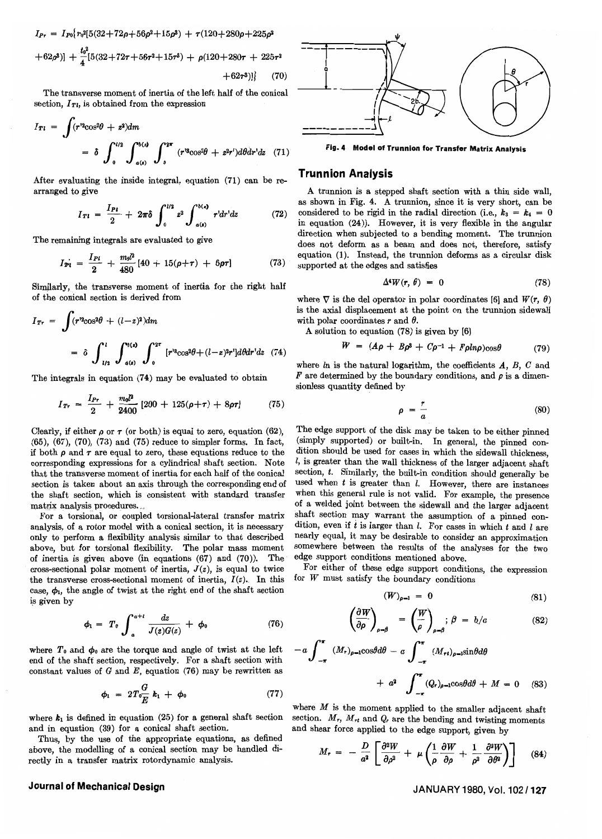$I_{Pr} = I_{P0} \{ r_0^3 [5(32+72\rho+56\rho^2+15\rho^3) + r(120+280\rho+225\rho^2) \}$  $+62\rho^3$ ] +  $\frac{t_0^3}{4}$ [5(32+72 $\tau$ +56 $\tau$ <sup>2</sup>+15 $\tau$ <sup>3</sup>) +  $\rho$ (120+280 $\tau$  + 225 $\tau$ <sup>2</sup>

$$
+62\tau^3)]\} \qquad (70)
$$

The transverse moment of inertia of the left half of the conical section,  $I_{Tl}$ , is obtained from the expression

$$
I_{Tl} = \int (r^{12}\cos^2\theta + z^2) dm
$$
  
=  $\delta \int_0^{l/2} \int_{a(x)}^{b(x)} \int_0^{2\pi} (r^{12}\cos^2\theta + z^2r^{\prime}) d\theta dr^{\prime} dz$  (71)

After evaluating the inside integral, equation (71) can be rearranged to give

$$
I_{T1} = \frac{I_{P1}}{2} + 2\pi\delta \int_0^{l/2} z^2 \int_{a(t)}^{b(s)} r^{\prime} dr^{\prime} dz
$$
 (72)

The remaining integrals are evaluated to give

$$
I_{\text{Pl}} = \frac{I_{\text{Pl}}}{2} + \frac{m_0 l^2}{480} [40 + 15(\rho + \tau) + 6\rho \tau] \tag{73}
$$

Similarly, the transverse moment of inertia for the right half of the conical section is derived from

$$
I_{Tr} = \int (r^{12}\cos^2\theta + (l-z)^2) dm
$$
  
=  $\delta \int_{l/2}^{l} \int_{a(\epsilon)}^{b(\epsilon)} \int_{0}^{2\pi} [r^{12}\cos^2\theta + (l-z)^2r^2] d\theta dr^1 dz$  (74)

The integrals in equation (74) may be evaluated to obtain

$$
I_{Tr} = \frac{I_{Pr}}{2} + \frac{m_0 l^2}{2400} [200 + 125(\rho + \tau) + 8\rho \tau] \tag{75}
$$

Clearly, if either  $\rho$  or  $\tau$  (or both) is equal to zero, equation (62), (65), (67), (70), (73) and (75) reduce to simpler forms. In fact, if both  $\rho$  and  $\tau$  are equal to zero, these equations reduce to the corresponding expressions for a cylindrical shaft section. Note that the transverse moment of inertia for each half of the conical section is taken about an axis through the corresponding end of the shaft section, which is consistent with standard transfer matrix analysis procedures.

For a torsional, or coupled torsional-lateral transfer matrix analysis, of a rotor model with a conical section, it is necessary only to perform a flexibility analysis similar to that described above, but for torsional flexibility. The polar mass moment of inertia is given above (in equations  $(67)$  and  $(70)$ ). The cross-sectional polar moment of inertia,  $J(z)$ , is equal to twice the transverse cross-sectional moment of inertia,  $I(z)$ . In this case,  $\phi_1$ , the angle of twist at the right end of the shaft section is given by

$$
\phi_1 = T_0 \int_a^{a+l} \frac{dz}{J(z)G(z)} + \phi_0 \tag{76}
$$

where  $T_0$  and  $\phi_0$  are the torque and angle of twist at the left end of the shaft section, respectively. For a shaft section with constant values of G and E, equation (76) may be rewritten as

$$
\phi_1 = 2T_0 \frac{G}{E} k_1 + \phi_0 \tag{77}
$$

where  $k_1$  is defined in equation (25) for a general shaft section and in equation (39) for a conical shaft section.

Thus, by the use of the appropriate equations, as defined above, the modelling of a conical section may be handled directly in a transfer matrix rotordynamic analysis.

#### **Journal of Mechanical Design**



Fig. 4 Model of Trunnion for Transfer Matrix Analysis

#### Trunnion Analysis

A trunnion is a stepped shaft section with a thin side wall, as shown in Fig. 4. A trunnion, since it is very short, can be considered to be rigid in the radial direction (i.e.,  $k_3 = k_4 = 0$ ) in equation (24)). However, it is very flexible in the angular direction when subjected to a bending moment. The trunnion does not deform as a beam and does not, therefore, satisfy equation (1). Instead, the trunnion deforms as a circular disk supported at the edges and satisfies

$$
\Delta^4 W(r, \theta) = 0 \tag{78}
$$

where  $\nabla$  is the del operator in polar coordinates [6] and  $W(r, \theta)$ is the axial displacement at the point on the trunnion sidewall with polar coordinates  $r$  and  $\theta$ .

A solution to equation (7S) is given by [6]

$$
W = (A\rho + B\rho^{3} + C\rho^{-1} + F\rho ln\rho)\cos\theta \qquad (79)
$$

where  $ln$  is the natural logarithm, the coefficients  $A$ ,  $B$ ,  $C$  and  $\bar{F}$  are determined by the boundary conditions, and  $\rho$  is a dimensionless quantity defined by

$$
\rho = \frac{r}{a} \tag{80}
$$

The edge support of the disk may be taken to be either pinned (simply supported) or built-in. In general, the pinned condition should be used for cases in which the sidewall thickness  $l$ , is greater than the wall thickness of the larger adjacent shaft section, *t.* Similarly, the built-in condition should generally be used when  $t$  is greater than  $l$ . However, there are instances when this general rule is not valid. For example, the presence of a welded joint between the sidewall and the larger adjacent shaft section may warrant the assumption of a pinned condition, even if  $t$  is larger than  $l$ . For cases in which  $t$  and  $l$  are nearly equal, it may be desirable to consider an approximation somewhere between the results of the analyses for the two edge support conditions mentioned above.

For either of these edge support conditions, the expression for *W* must satisfy the boundary conditions

$$
(W)_{\rho=1} = 0 \tag{81}
$$

$$
\left(\frac{\partial W}{\partial \rho}\right)_{\rho=\beta} = \left(\frac{W}{\rho}\right)_{\rho=\beta}; \beta = b/a \tag{82}
$$

$$
-a \int_{-\pi}^{\pi} (M_r)_{\rho=1} \cos\theta d\theta - a \int_{-\pi}^{\pi} (M_{rt})_{\rho=1} \sin\theta d\theta
$$

$$
+ a^2 \int_{-\pi}^{\pi} (Q_r)_{\rho=1} \cos\theta d\theta + M = 0 \quad (83)
$$

where *M* is the moment applied to the smaller adjacent shaft section.  $M_r$ ,  $M_{rt}$  and  $Q_r$  are the bending and twisting moments and shear force applied to the edge support, given by

$$
M_r = -\frac{D}{a^2} \left[ \frac{\partial^2 W}{\partial \rho^2} + \mu \left( \frac{1}{\rho} \frac{\partial W}{\partial \rho} + \frac{1}{\rho^2} \frac{\partial^2 W}{\partial \theta^2} \right) \right] \quad (84)
$$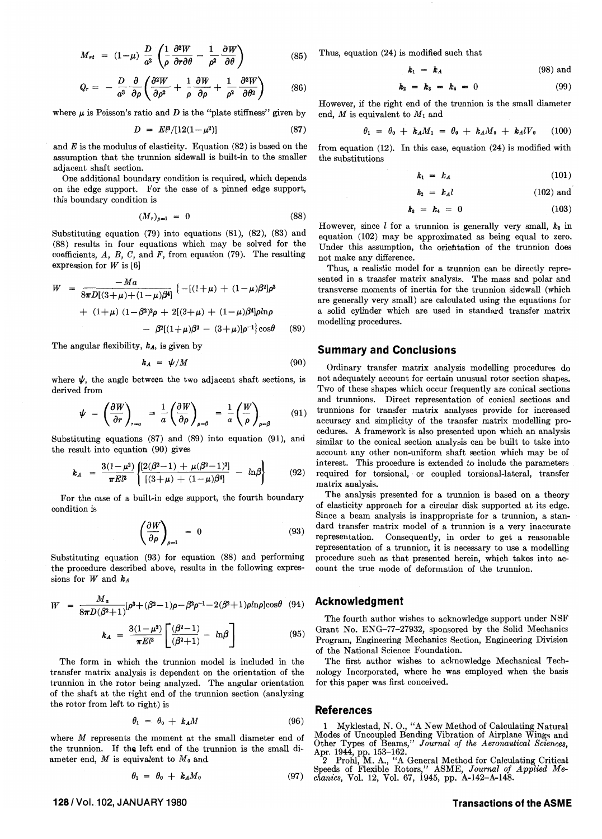$$
M_{rt} = (1-\mu) \frac{D}{a^2} \left( \frac{1}{\rho} \frac{\partial^2 W}{\partial r \partial \theta} - \frac{1}{\rho^2} \frac{\partial W}{\partial \theta} \right) \qquad (3)
$$

$$
Q_r = -\frac{D}{a^3} \frac{\partial}{\partial \rho} \left( \frac{\partial^2 W}{\partial \rho^2} + \frac{1}{\rho} \frac{\partial W}{\partial \rho} + \frac{1}{\rho^2} \frac{\partial^2 W}{\partial \theta^2} \right) \tag{86}
$$

where  $\mu$  is Poisson's ratio and *D* is the "plate stiffness" given by

$$
D = E^3/[12(1-\mu^2)] \tag{87}
$$

and *E* is the modulus of elasticity. Equation (82) is based on the assumption that the trunnion sidewall is built-in to the smaller adjacent shaft section.

One additional boundary condition is required, which depends on the edge support. For the case of a pinned edge support, this boundary condition is

$$
(M_r)_{\rho=1} = 0 \tag{88}
$$

Substituting equation  $(79)$  into equations  $(81)$ ,  $(82)$ ,  $(83)$  and (88) results in four equations which may be solved for the coefficients,  $A$ ,  $B$ ,  $C$ , and  $F$ , from equation (79). The resulting expression for *W* is [6]

$$
W = \frac{-Ma}{8\pi D[(3+\mu)+(1-\mu)\beta^4]} \{-[(1+\mu)+(1-\mu)\beta^2]\rho^3
$$
  
+ (1+\mu) (1-\beta^2)^2\rho + 2[(3+\mu)+(1-\mu)\beta^4]\rho ln\rho  
- \beta^2[(1+\mu)\beta^2 - (3+\mu)]\rho^{-1}\}\cos\theta (89)

The angular flexibility, *kA,* is given by

$$
k_A = \psi/M \tag{90}
$$

where  $\psi$ , the angle between the two adjacent shaft sections, is derived from

$$
\psi = \left(\frac{\partial W}{\partial r}\right)_{r=a} = \frac{1}{a} \left(\frac{\partial W}{\partial \rho}\right)_{\rho=\beta} = \frac{1}{a} \left(\frac{W}{\rho}\right)_{\rho=\beta} \tag{91}
$$

Substituting equations (87) and (89) into equation (91), and the result into equation (90) gives

$$
k_A = \frac{3(1-\mu^2)}{\pi E l^3} \left\{ \frac{[2(\beta^2-1) + \mu(\beta^2-1)^2]}{[(3+\mu) + (1-\mu)\beta^4]} - \ln \beta \right\}
$$
(92)

For the case of a built-in edge support, the fourth boundary condition is

$$
\left(\frac{\partial W}{\partial \rho}\right)_{\rho=1} = 0 \tag{93}
$$

Substituting equation (93) for equation (88) and performing the procedure described above, results in the following expressions for Wand *kA* 

$$
W = \frac{M_a}{8\pi D(\beta^2+1)} [\rho^3 + (\beta^2-1)\rho - \beta^2 \rho^{-1} - 2(\beta^2+1)\rho ln \rho ]\cos\theta
$$
 (94)

$$
k_A = \frac{3(1-\mu^2)}{\pi E l^3} \left[ \frac{(\beta^2 - 1)}{(\beta^2 + 1)} - \ln \beta \right] \tag{95}
$$

The form in which the trunnion model is included in the transfer matrix analysis is dependent on the orientation of the trunnion in the rotor being analyzed. The angular orientation of the shaft at the right end of the trunnion section (analyzing the rotor from left to right) is

$$
\theta_1 = \theta_0 + k_A M \tag{96}
$$

where M represents the moment at the small diameter end of the trunnion. If the left end of the trunnion is the small diameter end, *M* is equivalent to *Mo* and

$$
\theta_1 = \theta_0 + k_A M_0 \tag{97}
$$

**1281 Vol. 102, JANUARY 1980** 

 $(85)$  Thus, equation (24) is modified such that

$$
k_1 = k_A \tag{98} \text{ and}
$$

$$
k_2 = k_3 = k_4 = 0 \tag{99}
$$

However, if the right end of the trunnion is the small diameter end, M is equivalent to  $M_1$  and

$$
\theta_1 = \theta_0 + k_A M_1 = \theta_0 + k_A M_0 + k_A l V_0 \qquad (100)
$$

from equation (12). In this case, equation (24) is modified with the substitutions

$$
k_1 = k_A \tag{101}
$$

$$
k_2 = k_A l \tag{102} \text{ and}
$$

$$
k_3 = k_4 = 0 \tag{103}
$$

However, since  $l$  for a trunnion is generally very small,  $k_2$  in equation (102) may be approximated as being equal to zero. Under this assumption, the orientation of the trunnion does not make any difference.

Thus, a realistic model for a trunnion can be directly represented in a transfer matrix analysis. The mass and polar and transverse moments of inertia for the trunnion sidewall (which are generally very small) are calculated using the equations for a solid cylinder which are used in standard transfer matrix modelling procedures.

#### **Summary and Conclusions**

Ordinary transfer matrix analysis modelling procedures do not adequately account for certain unusual rotor section shapes. Two of these shapes which occur frequently are conical sections and trunnions. Direct representation of conical sections and trunnions for transfer matrix analyses provide for increased accuracy and simplicity of the transfer matrix modelling procedures. A framework is also presented upon which an analysis similar to the conical section analysis can be built to take into account any other non-uniform shaft section which may be of interest. This procedure is extended to include the parameters . required for torsional,' or coupled torsional-lateral, transfer matrix analysis.

The analysis presented for a trunnion is based on a theory of elasticity approach for a circular disk supported at its edge. Since a beam analysis is inappropriate for a trunnion, a standard transfer matrix model of a trunnion is a very inaccurate representation. Consequently, in order to get a reasonable representation of a trunnion, it is necessary to use a modelling procedure such as that presented herein, which takes into account the true mode of deformation of the trunnion.

#### **Acknowledg ment**

The fourth author wishes to acknowledge support under NSF Grant No. ENG-77-27932, sponsored by the Solid Mechanics Program, Engineering Mechanics Section, Engineering Division of the National Science Foundation.

The first author wishes to acknowledge Mechanical Technology Incorporated, where he was employed when the basis for this paper was first conceived.

#### **References**

1 Myklestad, N. 0., "A New Method of Calculating Natural Modes of Uncoupled Bending Vibration of Airplane Wings and Other Types of Beams," *Journal of the Aeronautical Sciences,* 

Apr. 1944, pp. 153-162. 2 Prohl, M. A., "A General Method for Calculating Critical Speeds of Flexible Rotors," ASME, *Journal of Applied Mechanics,* Vol. 12, Vol. 67, 1945, pp. A-142-A-148.